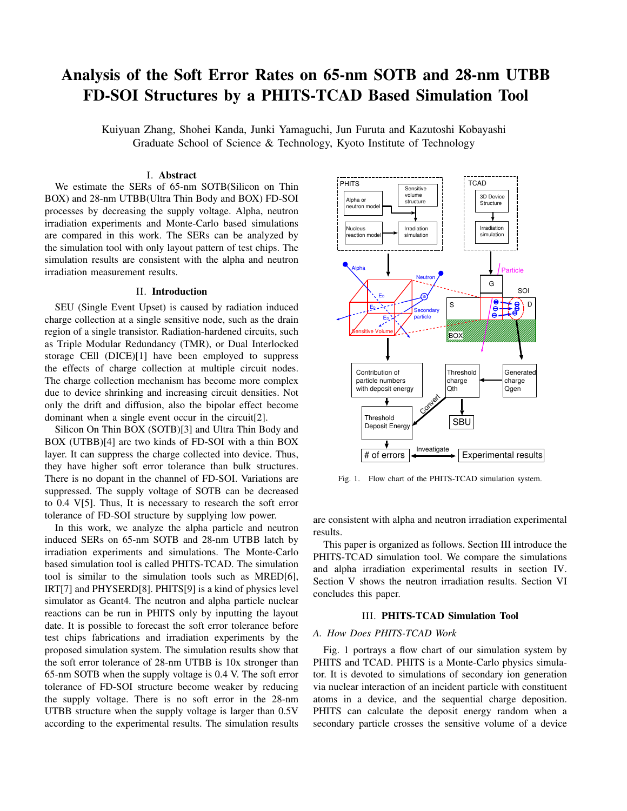# Analysis of the Soft Error Rates on 65-nm SOTB and 28-nm UTBB FD-SOI Structures by a PHITS-TCAD Based Simulation Tool

Kuiyuan Zhang, Shohei Kanda, Junki Yamaguchi, Jun Furuta and Kazutoshi Kobayashi Graduate School of Science & Technology, Kyoto Institute of Technology

## I. Abstract

We estimate the SERs of 65-nm SOTB(Silicon on Thin BOX) and 28-nm UTBB(Ultra Thin Body and BOX) FD-SOI processes by decreasing the supply voltage. Alpha, neutron irradiation experiments and Monte-Carlo based simulations are compared in this work. The SERs can be analyzed by the simulation tool with only layout pattern of test chips. The simulation results are consistent with the alpha and neutron irradiation measurement results.

### II. Introduction

SEU (Single Event Upset) is caused by radiation induced charge collection at a single sensitive node, such as the drain region of a single transistor. Radiation-hardened circuits, such as Triple Modular Redundancy (TMR), or Dual Interlocked storage CEll (DICE)[1] have been employed to suppress the effects of charge collection at multiple circuit nodes. The charge collection mechanism has become more complex due to device shrinking and increasing circuit densities. Not only the drift and diffusion, also the bipolar effect become dominant when a single event occur in the circuit[2].

Silicon On Thin BOX (SOTB)[3] and Ultra Thin Body and BOX (UTBB)[4] are two kinds of FD-SOI with a thin BOX layer. It can suppress the charge collected into device. Thus, they have higher soft error tolerance than bulk structures. There is no dopant in the channel of FD-SOI. Variations are suppressed. The supply voltage of SOTB can be decreased to 0.4 V[5]. Thus, It is necessary to research the soft error tolerance of FD-SOI structure by supplying low power.

In this work, we analyze the alpha particle and neutron induced SERs on 65-nm SOTB and 28-nm UTBB latch by irradiation experiments and simulations. The Monte-Carlo based simulation tool is called PHITS-TCAD. The simulation tool is similar to the simulation tools such as MRED[6], IRT[7] and PHYSERD[8]. PHITS[9] is a kind of physics level simulator as Geant4. The neutron and alpha particle nuclear reactions can be run in PHITS only by inputting the layout date. It is possible to forecast the soft error tolerance before test chips fabrications and irradiation experiments by the proposed simulation system. The simulation results show that the soft error tolerance of 28-nm UTBB is 10x stronger than 65-nm SOTB when the supply voltage is 0.4 V. The soft error tolerance of FD-SOI structure become weaker by reducing the supply voltage. There is no soft error in the 28-nm UTBB structure when the supply voltage is larger than 0.5V according to the experimental results. The simulation results



Fig. 1. Flow chart of the PHITS-TCAD simulation system.

are consistent with alpha and neutron irradiation experimental results.

This paper is organized as follows. Section III introduce the PHITS-TCAD simulation tool. We compare the simulations and alpha irradiation experimental results in section IV. Section V shows the neutron irradiation results. Section VI concludes this paper.

#### III. PHITS-TCAD Simulation Tool

# *A. How Does PHITS-TCAD Work*

Fig. 1 portrays a flow chart of our simulation system by PHITS and TCAD. PHITS is a Monte-Carlo physics simulator. It is devoted to simulations of secondary ion generation via nuclear interaction of an incident particle with constituent atoms in a device, and the sequential charge deposition. PHITS can calculate the deposit energy random when a secondary particle crosses the sensitive volume of a device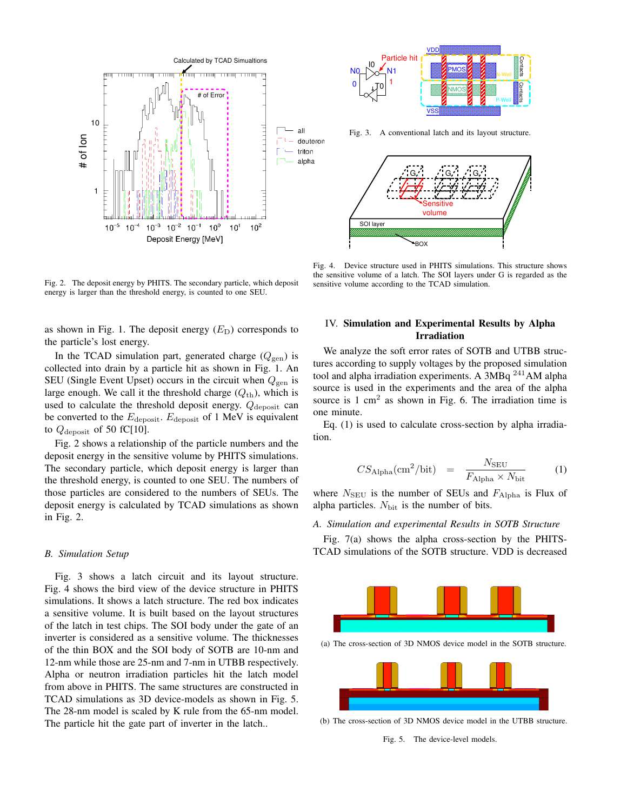

Fig. 2. The deposit energy by PHITS. The secondary particle, which deposit energy is larger than the threshold energy, is counted to one SEU.

as shown in Fig. 1. The deposit energy  $(E<sub>D</sub>)$  corresponds to the particle's lost energy.

In the TCAD simulation part, generated charge  $(Q_{\text{gen}})$  is collected into drain by a particle hit as shown in Fig. 1. An SEU (Single Event Upset) occurs in the circuit when  $Q_{\text{gen}}$  is large enough. We call it the threshold charge  $(Q<sub>th</sub>)$ , which is used to calculate the threshold deposit energy.  $Q_{\text{deposit}}$  can be converted to the  $E_{\text{deposit}}$ .  $E_{\text{deposit}}$  of 1 MeV is equivalent to  $Q_{\text{deposit}}$  of 50 fC[10].

Fig. 2 shows a relationship of the particle numbers and the deposit energy in the sensitive volume by PHITS simulations. The secondary particle, which deposit energy is larger than the threshold energy, is counted to one SEU. The numbers of those particles are considered to the numbers of SEUs. The deposit energy is calculated by TCAD simulations as shown in Fig. 2.

#### *B. Simulation Setup*

Fig. 3 shows a latch circuit and its layout structure. Fig. 4 shows the bird view of the device structure in PHITS simulations. It shows a latch structure. The red box indicates a sensitive volume. It is built based on the layout structures of the latch in test chips. The SOI body under the gate of an inverter is considered as a sensitive volume. The thicknesses of the thin BOX and the SOI body of SOTB are 10-nm and 12-nm while those are 25-nm and 7-nm in UTBB respectively. Alpha or neutron irradiation particles hit the latch model from above in PHITS. The same structures are constructed in TCAD simulations as 3D device-models as shown in Fig. 5. The 28-nm model is scaled by K rule from the 65-nm model. The particle hit the gate part of inverter in the latch..



Fig. 4. Device structure used in PHITS simulations. This structure shows the sensitive volume of a latch. The SOI layers under G is regarded as the sensitive volume according to the TCAD simulation.

# IV. Simulation and Experimental Results by Alpha Irradiation

We analyze the soft error rates of SOTB and UTBB structures according to supply voltages by the proposed simulation tool and alpha irradiation experiments. A 3MBq  $^{241}$ AM alpha source is used in the experiments and the area of the alpha source is  $1 \text{ cm}^2$  as shown in Fig. 6. The irradiation time is one minute.

Eq. (1) is used to calculate cross-section by alpha irradiation.

$$
CS_{\text{Alpha}}(\text{cm}^2/\text{bit}) = \frac{N_{\text{SEU}}}{F_{\text{Alpha}} \times N_{\text{bit}}} \tag{1}
$$

where  $N_{\text{SEU}}$  is the number of SEUs and  $F_{\text{Alpha}}$  is Flux of alpha particles. N<sub>bit</sub> is the number of bits.

# *A. Simulation and experimental Results in SOTB Structure*

Fig. 7(a) shows the alpha cross-section by the PHITS-TCAD simulations of the SOTB structure. VDD is decreased



(a) The cross-section of 3D NMOS device model in the SOTB structure.



(b) The cross-section of 3D NMOS device model in the UTBB structure.

Fig. 5. The device-level models.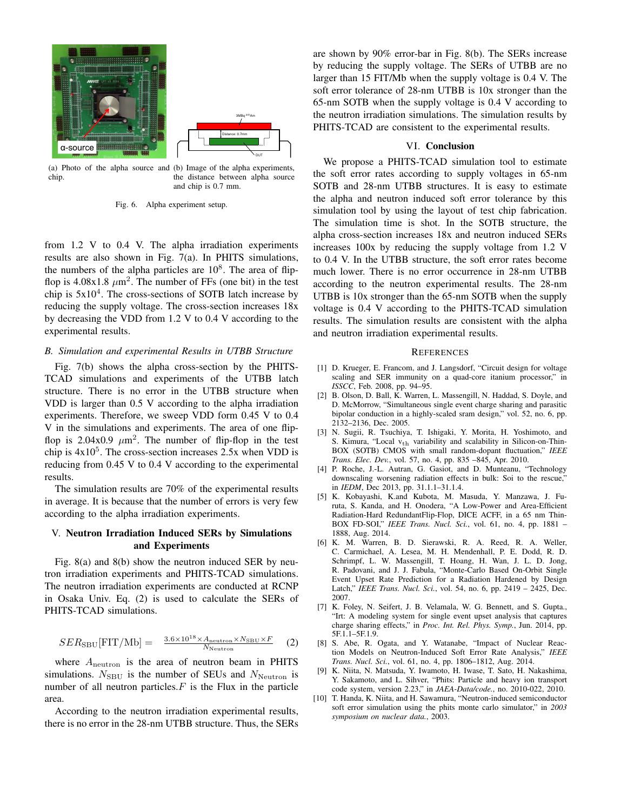

(a) Photo of the alpha source and (b) Image of the alpha experiments, chip.

the distance between alpha source and chip is 0.7 mm.

Fig. 6. Alpha experiment setup.

from 1.2 V to 0.4 V. The alpha irradiation experiments results are also shown in Fig. 7(a). In PHITS simulations, the numbers of the alpha particles are  $10^8$ . The area of flipflop is  $4.08x1.8 \ \mu m^2$ . The number of FFs (one bit) in the test chip is  $5x10<sup>4</sup>$ . The cross-sections of SOTB latch increase by reducing the supply voltage. The cross-section increases 18x by decreasing the VDD from 1.2 V to 0.4 V according to the experimental results.

#### *B. Simulation and experimental Results in UTBB Structure*

Fig. 7(b) shows the alpha cross-section by the PHITS-TCAD simulations and experiments of the UTBB latch structure. There is no error in the UTBB structure when VDD is larger than 0.5 V according to the alpha irradiation experiments. Therefore, we sweep VDD form 0.45 V to 0.4 V in the simulations and experiments. The area of one flipflop is  $2.04x0.9 \mu m^2$ . The number of flip-flop in the test chip is  $4x10^5$ . The cross-section increases 2.5x when VDD is reducing from 0.45 V to 0.4 V according to the experimental results.

The simulation results are 70% of the experimental results in average. It is because that the number of errors is very few according to the alpha irradiation experiments.

# V. Neutron Irradiation Induced SERs by Simulations and Experiments

Fig. 8(a) and 8(b) show the neutron induced SER by neutron irradiation experiments and PHITS-TCAD simulations. The neutron irradiation experiments are conducted at RCNP in Osaka Univ. Eq. (2) is used to calculate the SERs of PHITS-TCAD simulations.

$$
SER_{\rm SBU}[FIT/Mb] = \frac{3.6 \times 10^{18} \times A_{\rm neutron} \times N_{\rm SBU} \times F}{N_{\rm Neutron}} \tag{2}
$$

where  $A_{\text{neutron}}$  is the area of neutron beam in PHITS simulations.  $N_{SBU}$  is the number of SEUs and  $N_{\text{Neutron}}$  is number of all neutron particles.*F* is the Flux in the particle area.

According to the neutron irradiation experimental results, there is no error in the 28-nm UTBB structure. Thus, the SERs

are shown by 90% error-bar in Fig. 8(b). The SERs increase by reducing the supply voltage. The SERs of UTBB are no larger than 15 FIT/Mb when the supply voltage is 0.4 V. The soft error tolerance of 28-nm UTBB is 10x stronger than the 65-nm SOTB when the supply voltage is 0.4 V according to the neutron irradiation simulations. The simulation results by PHITS-TCAD are consistent to the experimental results.

## VI. Conclusion

We propose a PHITS-TCAD simulation tool to estimate the soft error rates according to supply voltages in 65-nm SOTB and 28-nm UTBB structures. It is easy to estimate the alpha and neutron induced soft error tolerance by this simulation tool by using the layout of test chip fabrication. The simulation time is shot. In the SOTB structure, the alpha cross-section increases 18x and neutron induced SERs increases 100x by reducing the supply voltage from 1.2 V to 0.4 V. In the UTBB structure, the soft error rates become much lower. There is no error occurrence in 28-nm UTBB according to the neutron experimental results. The 28-nm UTBB is 10x stronger than the 65-nm SOTB when the supply voltage is 0.4 V according to the PHITS-TCAD simulation results. The simulation results are consistent with the alpha and neutron irradiation experimental results.

#### **REFERENCES**

- [1] D. Krueger, E. Francom, and J. Langsdorf, "Circuit design for voltage scaling and SER immunity on a quad-core itanium processor," in *ISSCC*, Feb. 2008, pp. 94–95.
- [2] B. Olson, D. Ball, K. Warren, L. Massengill, N. Haddad, S. Doyle, and D. McMorrow, "Simultaneous single event charge sharing and parasitic bipolar conduction in a highly-scaled sram design," vol. 52, no. 6, pp. 2132–2136, Dec. 2005.
- [3] N. Sugii, R. Tsuchiya, T. Ishigaki, Y. Morita, H. Yoshimoto, and S. Kimura, "Local vth variability and scalability in Silicon-on-Thin-BOX (SOTB) CMOS with small random-dopant fluctuation," *IEEE Trans. Elec. Dev.*, vol. 57, no. 4, pp. 835 –845, Apr. 2010.
- [4] P. Roche, J.-L. Autran, G. Gasiot, and D. Munteanu, "Technology downscaling worsening radiation effects in bulk: Soi to the rescue," in *IEDM*, Dec 2013, pp. 31.1.1–31.1.4.
- [5] K. Kobayashi, K.and Kubota, M. Masuda, Y. Manzawa, J. Furuta, S. Kanda, and H. Onodera, "A Low-Power and Area-Efficient Radiation-Hard RedundantFlip-Flop, DICE ACFF, in a 65 nm Thin-BOX FD-SOI," *IEEE Trans. Nucl. Sci.*, vol. 61, no. 4, pp. 1881 – 1888, Aug. 2014.
- [6] K. M. Warren, B. D. Sierawski, R. A. Reed, R. A. Weller, C. Carmichael, A. Lesea, M. H. Mendenhall, P. E. Dodd, R. D. Schrimpf, L. W. Massengill, T. Hoang, H. Wan, J. L. D. Jong, R. Padovani, and J. J. Fabula, "Monte-Carlo Based On-Orbit Single Event Upset Rate Prediction for a Radiation Hardened by Design Latch," *IEEE Trans. Nucl. Sci.*, vol. 54, no. 6, pp. 2419 – 2425, Dec. 2007.
- [7] K. Foley, N. Seifert, J. B. Velamala, W. G. Bennett, and S. Gupta., "Irt: A modeling system for single event upset analysis that captures charge sharing effects," in *Proc. Int. Rel. Phys. Symp.*, Jun. 2014, pp. 5F.1.1–5F.1.9.
- [8] S. Abe, R. Ogata, and Y. Watanabe, "Impact of Nuclear Reaction Models on Neutron-Induced Soft Error Rate Analysis," *IEEE Trans. Nucl. Sci.*, vol. 61, no. 4, pp. 1806–1812, Aug. 2014.
- [9] K. Niita, N. Matsuda, Y. Iwamoto, H. Iwase, T. Sato, H. Nakashima, Y. Sakamoto, and L. Sihver, "Phits: Particle and heavy ion transport code system, version 2.23," in *JAEA-Data/code.*, no. 2010-022, 2010.
- [10] T. Handa, K. Niita, and H. Sawamura, "Neutron-induced semiconductor soft error simulation using the phits monte carlo simulator," in *2003 symposium on nuclear data.*, 2003.